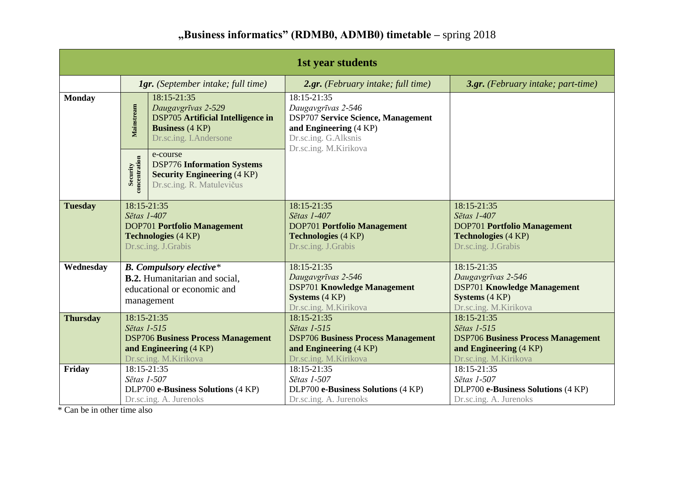## **"Business informatics" (RDMB0, ADMB0) timetable –** spring 2018

| <b>1st year students</b> |                                                                                                                                                 |                                                                                                                  |                                                                                                                                                           |                                                                                                                                |  |
|--------------------------|-------------------------------------------------------------------------------------------------------------------------------------------------|------------------------------------------------------------------------------------------------------------------|-----------------------------------------------------------------------------------------------------------------------------------------------------------|--------------------------------------------------------------------------------------------------------------------------------|--|
|                          | <b>1gr.</b> (September intake; full time)                                                                                                       |                                                                                                                  | 2.gr. (February intake; full time)                                                                                                                        | 3.gr. (February intake; part-time)                                                                                             |  |
| <b>Monday</b>            | 18:15-21:35<br>Mainstream<br>Daugavgrīvas 2-529<br><b>DSP705</b> Artificial Intelligence in<br><b>Business</b> (4 KP)<br>Dr.sc.ing. I.Andersone |                                                                                                                  | 18:15-21:35<br>Daugavgrīvas 2-546<br><b>DSP707 Service Science, Management</b><br>and Engineering (4 KP)<br>Dr.sc.ing. G.Alksnis<br>Dr.sc.ing. M.Kirikova |                                                                                                                                |  |
|                          | Security<br>concentration                                                                                                                       | e-course<br><b>DSP776 Information Systems</b><br><b>Security Engineering (4 KP)</b><br>Dr.sc.ing. R. Matulevičus |                                                                                                                                                           |                                                                                                                                |  |
| <b>Tuesday</b>           | 18:15-21:35<br>Sētas 1-407<br><b>DOP701 Portfolio Management</b><br><b>Technologies</b> (4 KP)<br>Dr.sc.ing. J.Grabis                           |                                                                                                                  | 18:15-21:35<br>Sētas 1-407<br><b>DOP701 Portfolio Management</b><br><b>Technologies</b> (4 KP)<br>Dr.sc.ing. J.Grabis                                     | 18:15-21:35<br>Sētas 1-407<br><b>DOP701 Portfolio Management</b><br><b>Technologies (4 KP)</b><br>Dr.sc.ing. J.Grabis          |  |
| Wednesday                | <b>B.</b> Compulsory elective*<br><b>B.2.</b> Humanitarian and social,<br>educational or economic and<br>management                             |                                                                                                                  | 18:15-21:35<br>Daugavgrīvas 2-546<br><b>DSP701 Knowledge Management</b><br><b>Systems</b> (4 KP)<br>Dr.sc.ing. M.Kirikova                                 | $18:15 - 21:35$<br>Daugavgrīvas 2-546<br><b>DSP701 Knowledge Management</b><br><b>Systems</b> (4 KP)<br>Dr.sc.ing. M.Kirikova  |  |
| <b>Thursday</b>          | 18:15-21:35<br>Sētas 1-515<br><b>DSP706 Business Process Management</b><br>and Engineering (4 KP)<br>Dr.sc.ing. M.Kirikova                      |                                                                                                                  | 18:15-21:35<br>Sētas 1-515<br><b>DSP706 Business Process Management</b><br>and Engineering (4 KP)<br>Dr.sc.ing. M.Kirikova                                | $18:15 - 21:35$<br>Sētas 1-515<br><b>DSP706 Business Process Management</b><br>and Engineering (4 KP)<br>Dr.sc.ing. M.Kirikova |  |
| Friday                   | 18:15-21:35<br>Sētas 1-507                                                                                                                      | DLP700 e-Business Solutions (4 KP)<br>Dr.sc.ing. A. Jurenoks                                                     | 18:15-21:35<br>Sētas 1-507<br>DLP700 e-Business Solutions (4 KP)<br>Dr.sc.ing. A. Jurenoks                                                                | 18:15-21:35<br>Sētas 1-507<br>DLP700 e-Business Solutions (4 KP)<br>Dr.sc.ing. A. Jurenoks                                     |  |

\* Can be in other time also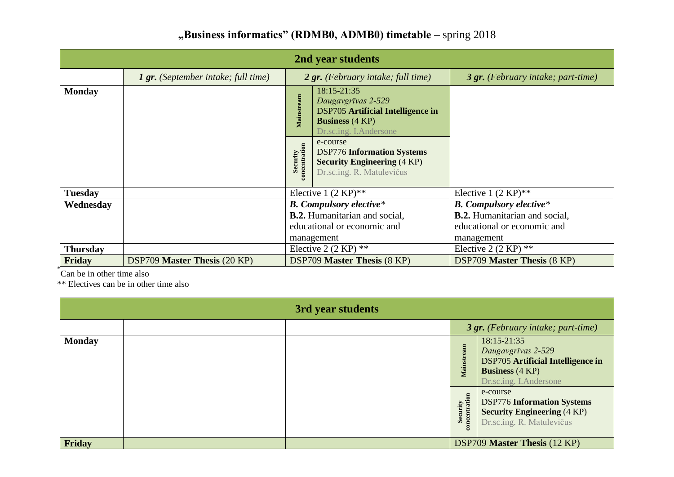| "Business informatics" (RDMB0, ADMB0) timetable – spring 2018 |  |  |  |  |  |
|---------------------------------------------------------------|--|--|--|--|--|
|---------------------------------------------------------------|--|--|--|--|--|

| 2nd year students |                                            |                                      |                                                                                                                                   |                                      |  |  |
|-------------------|--------------------------------------------|--------------------------------------|-----------------------------------------------------------------------------------------------------------------------------------|--------------------------------------|--|--|
|                   | <b>1 gr.</b> (September intake; full time) | 2 gr. (February intake; full time)   |                                                                                                                                   | 3 gr. (February intake; part-time)   |  |  |
| <b>Monday</b>     |                                            | Mainstream                           | 18:15-21:35<br>Daugavgrīvas 2-529<br><b>DSP705</b> Artificial Intelligence in<br><b>Business</b> (4 KP)<br>Dr.sc.ing. I.Andersone |                                      |  |  |
|                   |                                            | Security<br>ncentration              | e-course<br><b>DSP776 Information Systems</b><br><b>Security Engineering (4 KP)</b><br>Dr.sc.ing. R. Matulevičus                  |                                      |  |  |
| <b>Tuesday</b>    |                                            | Elective 1 $(2 KP)$ **               |                                                                                                                                   | Elective 1 $(2 \text{ KP})^{**}$     |  |  |
| Wednesday         |                                            | <b>B.</b> Compulsory elective*       |                                                                                                                                   | <b>B.</b> Compulsory elective*       |  |  |
|                   |                                            | <b>B.2.</b> Humanitarian and social, |                                                                                                                                   | <b>B.2.</b> Humanitarian and social, |  |  |
|                   |                                            | educational or economic and          |                                                                                                                                   | educational or economic and          |  |  |
|                   |                                            | management                           |                                                                                                                                   | management                           |  |  |
| <b>Thursday</b>   |                                            | Elective 2 $(2 KP)$ **               |                                                                                                                                   | Elective 2 $(2 KP)$ **               |  |  |
| Friday            | <b>DSP709 Master Thesis (20 KP)</b>        | <b>DSP709 Master Thesis (8 KP)</b>   |                                                                                                                                   | <b>DSP709 Master Thesis (8 KP)</b>   |  |  |

\* Can be in other time also

\*\* Electives can be in other time also

| 3rd year students |  |  |                                    |                                                                                                                                   |  |
|-------------------|--|--|------------------------------------|-----------------------------------------------------------------------------------------------------------------------------------|--|
|                   |  |  | 3 gr. (February intake; part-time) |                                                                                                                                   |  |
| <b>Monday</b>     |  |  | Mainstream                         | 18:15-21:35<br>Daugavgrīvas 2-529<br><b>DSP705</b> Artificial Intelligence in<br><b>Business</b> (4 KP)<br>Dr.sc.ing. I.Andersone |  |
|                   |  |  | Security<br>concentration          | e-course<br><b>DSP776 Information Systems</b><br><b>Security Engineering (4 KP)</b><br>Dr.sc.ing. R. Matulevičus                  |  |
| Friday            |  |  |                                    | <b>DSP709 Master Thesis (12 KP)</b>                                                                                               |  |